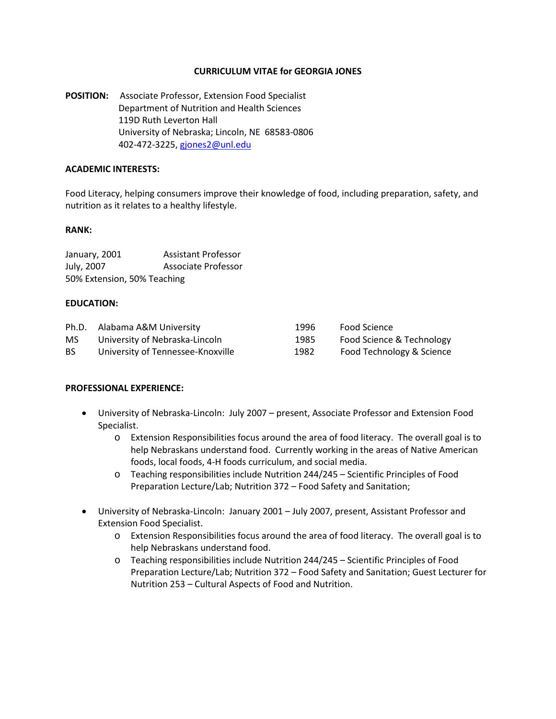## **CURRICULUM VITAE for GEORGIA JONES**

**POSITION:** Associate Professor, Extension Food Specialist Department of Nutrition and Health Sciences 119D Ruth Leverton Hall University of Nebraska; Lincoln, NE 68583-0806 402-472-3225, [gjones2@unl.edu](mailto:gjones2@unl.edu)

### **ACADEMIC INTERESTS:**

Food Literacy, helping consumers improve their knowledge of food, including preparation, safety, and nutrition as it relates to a healthy lifestyle.

#### **RANK:**

| January, 2001               | Assistant Professor |
|-----------------------------|---------------------|
| July, 2007                  | Associate Professor |
| 50% Extension, 50% Teaching |                     |

### **EDUCATION:**

| Ph.D. | Alabama A&M University            | 1996 | Food Science              |
|-------|-----------------------------------|------|---------------------------|
| MS    | University of Nebraska-Lincoln    | 1985 | Food Science & Technology |
| BS.   | University of Tennessee-Knoxville | 1982 | Food Technology & Science |

## **PROFESSIONAL EXPERIENCE:**

- University of Nebraska-Lincoln: July 2007 present, Associate Professor and Extension Food Specialist.
	- o Extension Responsibilities focus around the area of food literacy. The overall goal is to help Nebraskans understand food. Currently working in the areas of Native American foods, local foods, 4-H foods curriculum, and social media.
	- o Teaching responsibilities include Nutrition 244/245 Scientific Principles of Food Preparation Lecture/Lab; Nutrition 372 – Food Safety and Sanitation;
- University of Nebraska-Lincoln: January 2001 July 2007, present, Assistant Professor and Extension Food Specialist.
	- o Extension Responsibilities focus around the area of food literacy. The overall goal is to help Nebraskans understand food.
	- o Teaching responsibilities include Nutrition 244/245 Scientific Principles of Food Preparation Lecture/Lab; Nutrition 372 – Food Safety and Sanitation; Guest Lecturer for Nutrition 253 – Cultural Aspects of Food and Nutrition.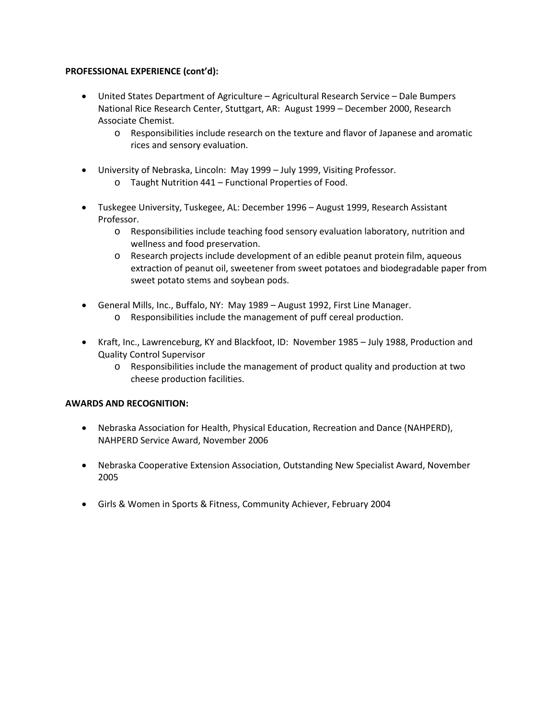## **PROFESSIONAL EXPERIENCE (cont'd):**

- United States Department of Agriculture Agricultural Research Service Dale Bumpers National Rice Research Center, Stuttgart, AR: August 1999 – December 2000, Research Associate Chemist.
	- o Responsibilities include research on the texture and flavor of Japanese and aromatic rices and sensory evaluation.
- University of Nebraska, Lincoln: May 1999 July 1999, Visiting Professor.
	- o Taught Nutrition 441 Functional Properties of Food.
- Tuskegee University, Tuskegee, AL: December 1996 August 1999, Research Assistant Professor.
	- o Responsibilities include teaching food sensory evaluation laboratory, nutrition and wellness and food preservation.
	- o Research projects include development of an edible peanut protein film, aqueous extraction of peanut oil, sweetener from sweet potatoes and biodegradable paper from sweet potato stems and soybean pods.
- General Mills, Inc., Buffalo, NY: May 1989 August 1992, First Line Manager.
	- o Responsibilities include the management of puff cereal production.
- Kraft, Inc., Lawrenceburg, KY and Blackfoot, ID: November 1985 July 1988, Production and Quality Control Supervisor
	- o Responsibilities include the management of product quality and production at two cheese production facilities.

## **AWARDS AND RECOGNITION:**

- Nebraska Association for Health, Physical Education, Recreation and Dance (NAHPERD), NAHPERD Service Award, November 2006
- Nebraska Cooperative Extension Association, Outstanding New Specialist Award, November 2005
- Girls & Women in Sports & Fitness, Community Achiever, February 2004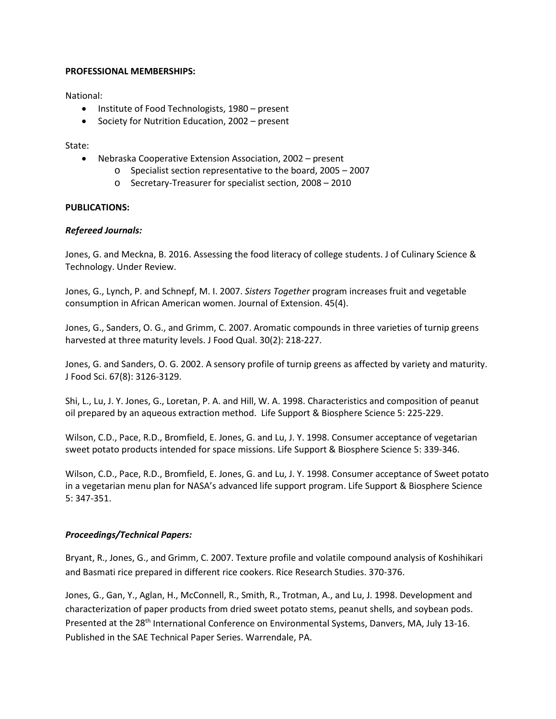### **PROFESSIONAL MEMBERSHIPS:**

National:

- Institute of Food Technologists, 1980 present
- Society for Nutrition Education, 2002 present

### State:

- Nebraska Cooperative Extension Association, 2002 present
	- o Specialist section representative to the board, 2005 2007
	- o Secretary-Treasurer for specialist section, 2008 2010

## **PUBLICATIONS:**

## *Refereed Journals:*

Jones, G. and Meckna, B. 2016. Assessing the food literacy of college students. J of Culinary Science & Technology. Under Review.

Jones, G., Lynch, P. and Schnepf, M. I. 2007. *Sisters Together* program increases fruit and vegetable consumption in African American women. Journal of Extension. 45(4).

Jones, G., Sanders, O. G., and Grimm, C. 2007. Aromatic compounds in three varieties of turnip greens harvested at three maturity levels. J Food Qual. 30(2): 218-227.

Jones, G. and Sanders, O. G. 2002. A sensory profile of turnip greens as affected by variety and maturity. J Food Sci. 67(8): 3126-3129.

Shi, L., Lu, J. Y. Jones, G., Loretan, P. A. and Hill, W. A. 1998. Characteristics and composition of peanut oil prepared by an aqueous extraction method. Life Support & Biosphere Science 5: 225-229.

Wilson, C.D., Pace, R.D., Bromfield, E. Jones, G. and Lu, J. Y. 1998. Consumer acceptance of vegetarian sweet potato products intended for space missions. Life Support & Biosphere Science 5: 339-346.

Wilson, C.D., Pace, R.D., Bromfield, E. Jones, G. and Lu, J. Y. 1998. Consumer acceptance of Sweet potato in a vegetarian menu plan for NASA's advanced life support program. Life Support & Biosphere Science 5: 347-351.

## *Proceedings/Technical Papers:*

Bryant, R., Jones, G., and Grimm, C. 2007. Texture profile and volatile compound analysis of Koshihikari and Basmati rice prepared in different rice cookers. Rice Research Studies. 370-376.

Jones, G., Gan, Y., Aglan, H., McConnell, R., Smith, R., Trotman, A., and Lu, J. 1998. Development and characterization of paper products from dried sweet potato stems, peanut shells, and soybean pods. Presented at the 28<sup>th</sup> International Conference on Environmental Systems, Danvers, MA, July 13-16. Published in the SAE Technical Paper Series. Warrendale, PA.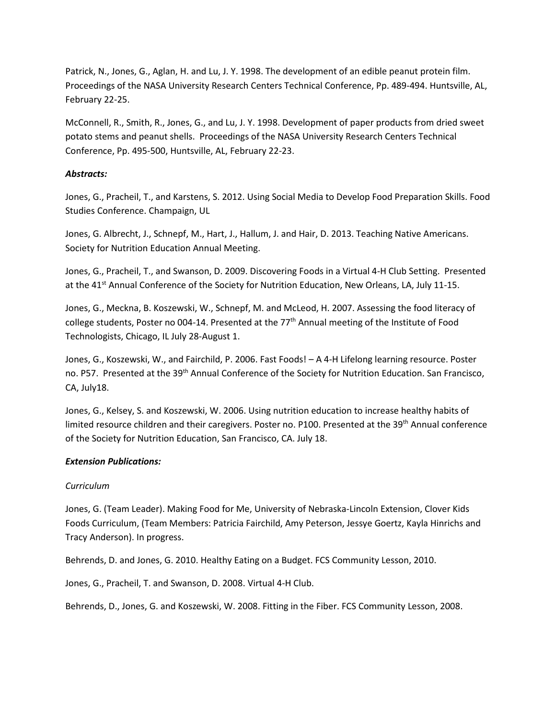Patrick, N., Jones, G., Aglan, H. and Lu, J. Y. 1998. The development of an edible peanut protein film. Proceedings of the NASA University Research Centers Technical Conference, Pp. 489-494. Huntsville, AL, February 22-25.

McConnell, R., Smith, R., Jones, G., and Lu, J. Y. 1998. Development of paper products from dried sweet potato stems and peanut shells. Proceedings of the NASA University Research Centers Technical Conference, Pp. 495-500, Huntsville, AL, February 22-23.

# *Abstracts:*

Jones, G., Pracheil, T., and Karstens, S. 2012. Using Social Media to Develop Food Preparation Skills. Food Studies Conference. Champaign, UL

Jones, G. Albrecht, J., Schnepf, M., Hart, J., Hallum, J. and Hair, D. 2013. Teaching Native Americans. Society for Nutrition Education Annual Meeting.

Jones, G., Pracheil, T., and Swanson, D. 2009. Discovering Foods in a Virtual 4-H Club Setting. Presented at the 41<sup>st</sup> Annual Conference of the Society for Nutrition Education, New Orleans, LA, July 11-15.

Jones, G., Meckna, B. Koszewski, W., Schnepf, M. and McLeod, H. 2007. Assessing the food literacy of college students, Poster no 004-14. Presented at the 77<sup>th</sup> Annual meeting of the Institute of Food Technologists, Chicago, IL July 28-August 1.

Jones, G., Koszewski, W., and Fairchild, P. 2006. Fast Foods! – A 4-H Lifelong learning resource. Poster no. P57. Presented at the 39<sup>th</sup> Annual Conference of the Society for Nutrition Education. San Francisco, CA, July18.

Jones, G., Kelsey, S. and Koszewski, W. 2006. Using nutrition education to increase healthy habits of limited resource children and their caregivers. Poster no. P100. Presented at the 39<sup>th</sup> Annual conference of the Society for Nutrition Education, San Francisco, CA. July 18.

## *Extension Publications:*

## *Curriculum*

Jones, G. (Team Leader). Making Food for Me, University of Nebraska-Lincoln Extension, Clover Kids Foods Curriculum, (Team Members: Patricia Fairchild, Amy Peterson, Jessye Goertz, Kayla Hinrichs and Tracy Anderson). In progress.

Behrends, D. and Jones, G. 2010. Healthy Eating on a Budget. FCS Community Lesson, 2010.

Jones, G., Pracheil, T. and Swanson, D. 2008. Virtual 4-H Club.

Behrends, D., Jones, G. and Koszewski, W. 2008. Fitting in the Fiber. FCS Community Lesson, 2008.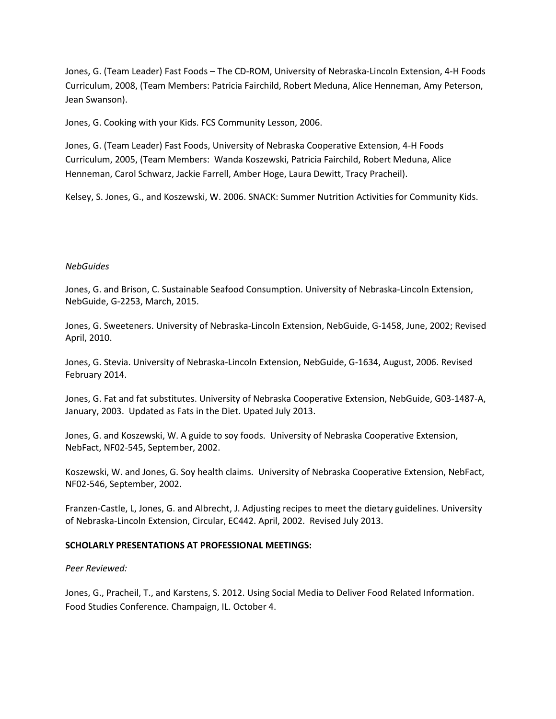Jones, G. (Team Leader) Fast Foods – The CD-ROM, University of Nebraska-Lincoln Extension, 4-H Foods Curriculum, 2008, (Team Members: Patricia Fairchild, Robert Meduna, Alice Henneman, Amy Peterson, Jean Swanson).

Jones, G. Cooking with your Kids. FCS Community Lesson, 2006.

Jones, G. (Team Leader) Fast Foods, University of Nebraska Cooperative Extension, 4-H Foods Curriculum, 2005, (Team Members: Wanda Koszewski, Patricia Fairchild, Robert Meduna, Alice Henneman, Carol Schwarz, Jackie Farrell, Amber Hoge, Laura Dewitt, Tracy Pracheil).

Kelsey, S. Jones, G., and Koszewski, W. 2006. SNACK: Summer Nutrition Activities for Community Kids.

#### *NebGuides*

Jones, G. and Brison, C. Sustainable Seafood Consumption. University of Nebraska-Lincoln Extension, NebGuide, G-2253, March, 2015.

Jones, G. Sweeteners. University of Nebraska-Lincoln Extension, NebGuide, G-1458, June, 2002; Revised April, 2010.

Jones, G. Stevia. University of Nebraska-Lincoln Extension, NebGuide, G-1634, August, 2006. Revised February 2014.

Jones, G. Fat and fat substitutes. University of Nebraska Cooperative Extension, NebGuide, G03-1487-A, January, 2003. Updated as Fats in the Diet. Upated July 2013.

Jones, G. and Koszewski, W. A guide to soy foods. University of Nebraska Cooperative Extension, NebFact, NF02-545, September, 2002.

Koszewski, W. and Jones, G. Soy health claims. University of Nebraska Cooperative Extension, NebFact, NF02-546, September, 2002.

Franzen-Castle, L, Jones, G. and Albrecht, J. Adjusting recipes to meet the dietary guidelines. University of Nebraska-Lincoln Extension, Circular, EC442. April, 2002. Revised July 2013.

#### **SCHOLARLY PRESENTATIONS AT PROFESSIONAL MEETINGS:**

#### *Peer Reviewed:*

Jones, G., Pracheil, T., and Karstens, S. 2012. Using Social Media to Deliver Food Related Information. Food Studies Conference. Champaign, IL. October 4.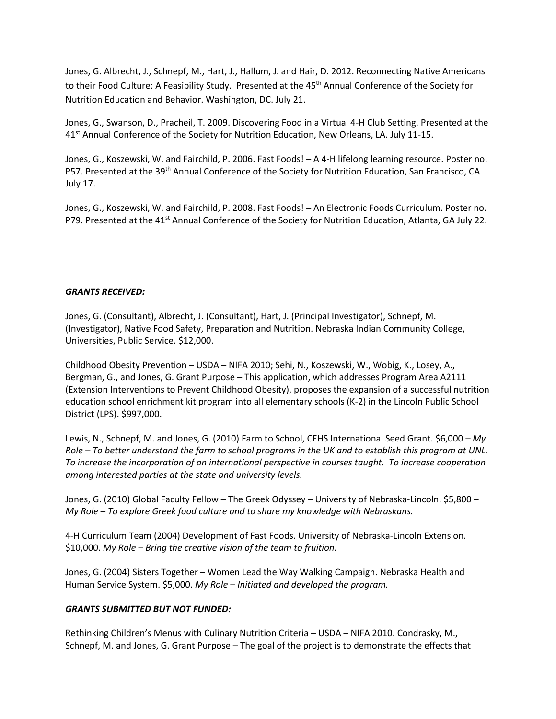Jones, G. Albrecht, J., Schnepf, M., Hart, J., Hallum, J. and Hair, D. 2012. Reconnecting Native Americans to their Food Culture: A Feasibility Study. Presented at the 45<sup>th</sup> Annual Conference of the Society for Nutrition Education and Behavior. Washington, DC. July 21.

Jones, G., Swanson, D., Pracheil, T. 2009. Discovering Food in a Virtual 4-H Club Setting. Presented at the 41<sup>st</sup> Annual Conference of the Society for Nutrition Education, New Orleans, LA. July 11-15.

Jones, G., Koszewski, W. and Fairchild, P. 2006. Fast Foods! – A 4-H lifelong learning resource. Poster no. P57. Presented at the 39<sup>th</sup> Annual Conference of the Society for Nutrition Education, San Francisco, CA July 17.

Jones, G., Koszewski, W. and Fairchild, P. 2008. Fast Foods! – An Electronic Foods Curriculum. Poster no. P79. Presented at the 41<sup>st</sup> Annual Conference of the Society for Nutrition Education, Atlanta, GA July 22.

### *GRANTS RECEIVED:*

Jones, G. (Consultant), Albrecht, J. (Consultant), Hart, J. (Principal Investigator), Schnepf, M. (Investigator), Native Food Safety, Preparation and Nutrition. Nebraska Indian Community College, Universities, Public Service. \$12,000.

Childhood Obesity Prevention – USDA – NIFA 2010; Sehi, N., Koszewski, W., Wobig, K., Losey, A., Bergman, G., and Jones, G. Grant Purpose – This application, which addresses Program Area A2111 (Extension Interventions to Prevent Childhood Obesity), proposes the expansion of a successful nutrition education school enrichment kit program into all elementary schools (K-2) in the Lincoln Public School District (LPS). \$997,000.

Lewis, N., Schnepf, M. and Jones, G. (2010) Farm to School, CEHS International Seed Grant. \$6,000 *– My Role – To better understand the farm to school programs in the UK and to establish this program at UNL. To increase the incorporation of an international perspective in courses taught. To increase cooperation among interested parties at the state and university levels.*

Jones, G. (2010) Global Faculty Fellow – The Greek Odyssey – University of Nebraska-Lincoln. \$5,800 – *My Role – To explore Greek food culture and to share my knowledge with Nebraskans.*

4-H Curriculum Team (2004) Development of Fast Foods. University of Nebraska-Lincoln Extension. \$10,000. *My Role – Bring the creative vision of the team to fruition.*

Jones, G. (2004) Sisters Together – Women Lead the Way Walking Campaign. Nebraska Health and Human Service System. \$5,000. *My Role – Initiated and developed the program.*

## *GRANTS SUBMITTED BUT NOT FUNDED:*

Rethinking Children's Menus with Culinary Nutrition Criteria – USDA – NIFA 2010. Condrasky, M., Schnepf, M. and Jones, G. Grant Purpose – The goal of the project is to demonstrate the effects that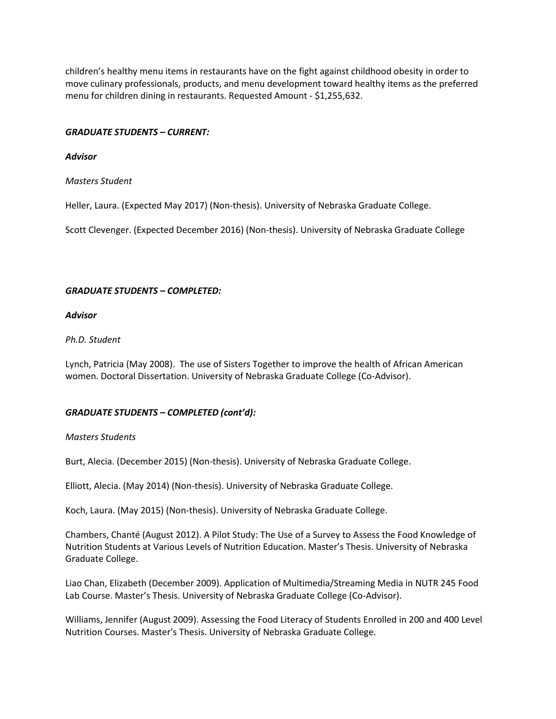children's healthy menu items in restaurants have on the fight against childhood obesity in order to move culinary professionals, products, and menu development toward healthy items as the preferred menu for children dining in restaurants. Requested Amount - \$1,255,632.

## *GRADUATE STUDENTS – CURRENT:*

### *Advisor*

## *Masters Student*

Heller, Laura. (Expected May 2017) (Non-thesis). University of Nebraska Graduate College.

Scott Clevenger. (Expected December 2016) (Non-thesis). University of Nebraska Graduate College

### *GRADUATE STUDENTS – COMPLETED:*

### *Advisor*

### *Ph.D. Student*

Lynch, Patricia (May 2008). The use of Sisters Together to improve the health of African American women. Doctoral Dissertation. University of Nebraska Graduate College (Co-Advisor).

## *GRADUATE STUDENTS – COMPLETED (cont'd):*

#### *Masters Students*

Burt, Alecia. (December 2015) (Non-thesis). University of Nebraska Graduate College.

Elliott, Alecia. (May 2014) (Non-thesis). University of Nebraska Graduate College.

Koch, Laura. (May 2015) (Non-thesis). University of Nebraska Graduate College.

Chambers, Chanté (August 2012). A Pilot Study: The Use of a Survey to Assess the Food Knowledge of Nutrition Students at Various Levels of Nutrition Education. Master's Thesis. University of Nebraska Graduate College.

Liao Chan, Elizabeth (December 2009). Application of Multimedia/Streaming Media in NUTR 245 Food Lab Course. Master's Thesis. University of Nebraska Graduate College (Co-Advisor).

Williams, Jennifer (August 2009). Assessing the Food Literacy of Students Enrolled in 200 and 400 Level Nutrition Courses. Master's Thesis. University of Nebraska Graduate College.